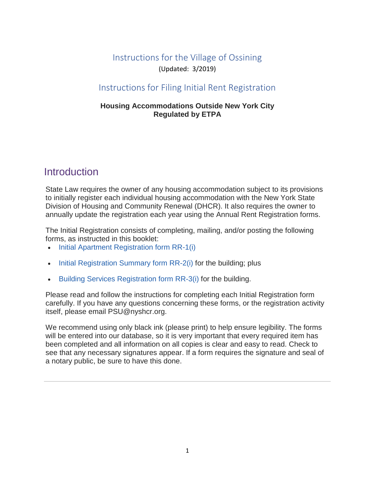# Instructions for the Village of Ossining (Updated: 3/2019)

# Instructions for Filing Initial Rent Registration

### **Housing Accommodations Outside New York City Regulated by ETPA**

# **Introduction**

State Law requires the owner of any housing accommodation subject to its provisions to initially register each individual housing accommodation with the New York State Division of Housing and Community Renewal (DHCR). It also requires the owner to annually update the registration each year using the Annual Rent Registration forms.

The Initial Registration consists of completing, mailing, and/or posting the following forms, as instructed in this booklet:

- [Initial Apartment Registration form RR-1\(i\)](https://hcr.ny.gov/system/files/documents/2018/12/rr1in.pdf)
- [Initial Registration Summary form RR-2\(i\)](https://hcr.ny.gov/system/files/documents/2019/01/rr2in.pdf) for the building; plus
- [Building Services Registration form RR-3\(i\)](https://hcr.ny.gov/system/files/documents/2019/01/rr2in.pdf) for the building.

Please read and follow the instructions for completing each Initial Registration form carefully. If you have any questions concerning these forms, or the registration activity itself, please email PSU@nyshcr.org.

We recommend using only black ink (please print) to help ensure legibility. The forms will be entered into our database, so it is very important that every required item has been completed and all information on all copies is clear and easy to read. Check to see that any necessary signatures appear. If a form requires the signature and seal of a notary public, be sure to have this done.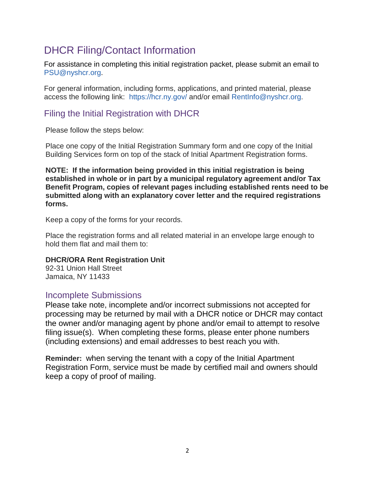# DHCR Filing/Contact Information

For assistance in completing this initial registration packet, please submit an email to [PSU@nyshcr.org.](mailto:PSU@nyshcr.org)

For general information, including forms, applications, and printed material, please access the following link: https://hcr.ny.gov/ and/or email [RentInfo@nyshcr.org.](mailto:RentInfo@nyshcr.org)

# Filing the Initial Registration with DHCR

Please follow the steps below:

Place one copy of the Initial Registration Summary form and one copy of the Initial Building Services form on top of the stack of Initial Apartment Registration forms.

**NOTE: If the information being provided in this initial registration is being established in whole or in part by a municipal regulatory agreement and/or Tax Benefit Program, copies of relevant pages including established rents need to be submitted along with an explanatory cover letter and the required registrations forms.**

Keep a copy of the forms for your records.

Place the registration forms and all related material in an envelope large enough to hold them flat and mail them to:

## **DHCR/ORA Rent Registration Unit**

92-31 Union Hall Street Jamaica, NY 11433

# Incomplete Submissions

Please take note, incomplete and/or incorrect submissions not accepted for processing may be returned by mail with a DHCR notice or DHCR may contact the owner and/or managing agent by phone and/or email to attempt to resolve filing issue(s). When completing these forms, please enter phone numbers (including extensions) and email addresses to best reach you with.

**Reminder:** when serving the tenant with a copy of the Initial Apartment Registration Form, service must be made by certified mail and owners should keep a copy of proof of mailing.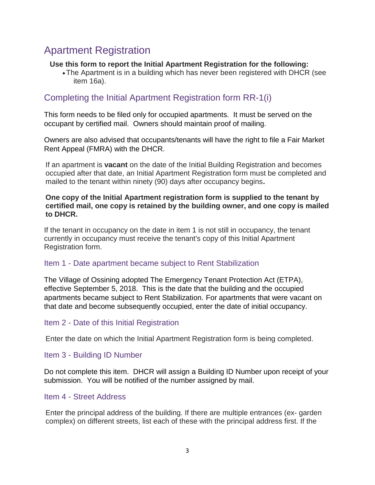# Apartment Registration

### **Use this form to report the Initial Apartment Registration for the following:**

•The Apartment is in a building which has never been registered with DHCR (see item 16a).

# Completing the Initial Apartment Registration form RR-1(i)

This form needs to be filed only for occupied apartments. It must be served on the occupant by certified mail. Owners should maintain proof of mailing.

Owners are also advised that occupants/tenants will have the right to file a Fair Market Rent Appeal (FMRA) with the DHCR.

If an apartment is **vacant** on the date of the Initial Building Registration and becomes occupied after that date, an Initial Apartment Registration form must be completed and mailed to the tenant within ninety (90) days after occupancy begins**.**

### **One copy of the Initial Apartment registration form is supplied to the tenant by certified mail, one copy is retained by the building owner, and one copy is mailed to DHCR.**

If the tenant in occupancy on the date in item 1 is not still in occupancy, the tenant currently in occupancy must receive the tenant's copy of this Initial Apartment Registration form.

### Item 1 - Date apartment became subject to Rent Stabilization

The Village of Ossining adopted The Emergency Tenant Protection Act (ETPA), effective September 5, 2018. This is the date that the building and the occupied apartments became subject to Rent Stabilization. For apartments that were vacant on that date and become subsequently occupied, enter the date of initial occupancy.

### Item 2 - Date of this Initial Registration

Enter the date on which the Initial Apartment Registration form is being completed.

### Item 3 - Building ID Number

Do not complete this item. DHCR will assign a Building ID Number upon receipt of your submission. You will be notified of the number assigned by mail.

### Item 4 - Street Address

Enter the principal address of the building. If there are multiple entrances (ex- garden complex) on different streets, list each of these with the principal address first. If the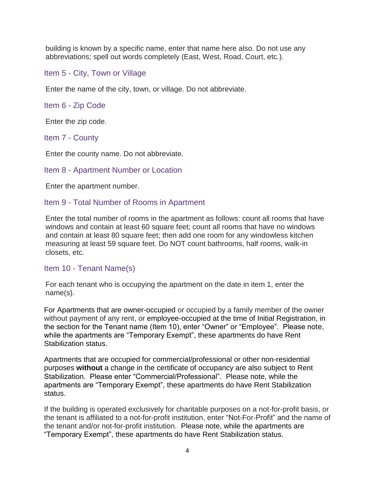building is known by a specific name, enter that name here also. Do not use any abbreviations; spell out words completely (East, West, Road, Court, etc.).

Item 5 - City, Town or Village

Enter the name of the city, town, or village. Do not abbreviate.

Item 6 - Zip Code

Enter the zip code.

Item 7 - County

Enter the county name. Do not abbreviate.

Item 8 - Apartment Number or Location

Enter the apartment number.

#### Item 9 - Total Number of Rooms in Apartment

Enter the total number of rooms in the apartment as follows: count all rooms that have windows and contain at least 60 square feet; count all rooms that have no windows and contain at least 80 square feet; then add one room for any windowless kitchen measuring at least 59 square feet. Do NOT count bathrooms, half rooms, walk-in closets, etc.

Item 10 - Tenant Name(s)

For each tenant who is occupying the apartment on the date in item 1, enter the name(s).

For Apartments that are owner-occupied or occupied by a family member of the owner without payment of any rent, or employee-occupied at the time of Initial Registration, in the section for the Tenant name (Item 10), enter "Owner" or "Employee". Please note, while the apartments are "Temporary Exempt", these apartments do have Rent Stabilization status.

Apartments that are occupied for commercial/professional or other non-residential purposes **without** a change in the certificate of occupancy are also subject to Rent Stabilization. Please enter "Commercial/Professional". Please note, while the apartments are "Temporary Exempt", these apartments do have Rent Stabilization status.

If the building is operated exclusively for charitable purposes on a not-for-profit basis, or the tenant is affiliated to a not-for-profit institution, enter "Not-For-Profit" and the name of the tenant and/or not-for-profit institution. Please note, while the apartments are "Temporary Exempt", these apartments do have Rent Stabilization status.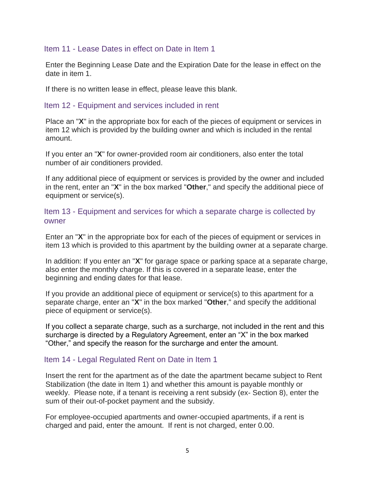### Item 11 - Lease Dates in effect on Date in Item 1

Enter the Beginning Lease Date and the Expiration Date for the lease in effect on the date in item 1.

If there is no written lease in effect, please leave this blank.

### Item 12 - Equipment and services included in rent

Place an "**X**" in the appropriate box for each of the pieces of equipment or services in item 12 which is provided by the building owner and which is included in the rental amount.

If you enter an "**X**" for owner-provided room air conditioners, also enter the total number of air conditioners provided.

If any additional piece of equipment or services is provided by the owner and included in the rent, enter an "**X**" in the box marked "**Other**," and specify the additional piece of equipment or service(s).

Item 13 - Equipment and services for which a separate charge is collected by owner

Enter an "**X**" in the appropriate box for each of the pieces of equipment or services in item 13 which is provided to this apartment by the building owner at a separate charge.

In addition: If you enter an "**X**" for garage space or parking space at a separate charge, also enter the monthly charge. If this is covered in a separate lease, enter the beginning and ending dates for that lease.

If you provide an additional piece of equipment or service(s) to this apartment for a separate charge, enter an "**X**" in the box marked "**Other**," and specify the additional piece of equipment or service(s).

If you collect a separate charge, such as a surcharge, not included in the rent and this surcharge is directed by a Regulatory Agreement, enter an "X" in the box marked "Other," and specify the reason for the surcharge and enter the amount.

### Item 14 - Legal Regulated Rent on Date in Item 1

Insert the rent for the apartment as of the date the apartment became subject to Rent Stabilization (the date in Item 1) and whether this amount is payable monthly or weekly. Please note, if a tenant is receiving a rent subsidy (ex- Section 8), enter the sum of their out-of-pocket payment and the subsidy.

For employee-occupied apartments and owner-occupied apartments, if a rent is charged and paid, enter the amount. If rent is not charged, enter 0.00.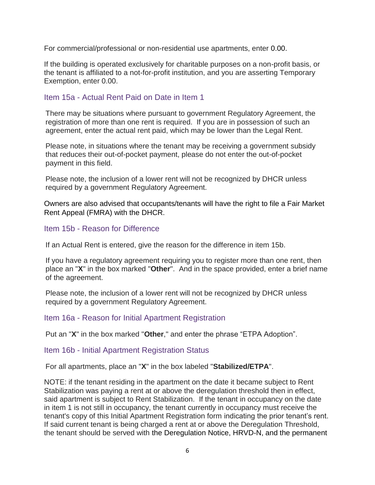For commercial/professional or non-residential use apartments, enter 0.00.

If the building is operated exclusively for charitable purposes on a non-profit basis, or the tenant is affiliated to a not-for-profit institution, and you are asserting Temporary Exemption, enter 0.00.

### Item 15a - Actual Rent Paid on Date in Item 1

There may be situations where pursuant to government Regulatory Agreement, the registration of more than one rent is required. If you are in possession of such an agreement, enter the actual rent paid, which may be lower than the Legal Rent.

Please note, in situations where the tenant may be receiving a government subsidy that reduces their out-of-pocket payment, please do not enter the out-of-pocket payment in this field.

Please note, the inclusion of a lower rent will not be recognized by DHCR unless required by a government Regulatory Agreement.

Owners are also advised that occupants/tenants will have the right to file a Fair Market Rent Appeal (FMRA) with the DHCR.

### Item 15b - Reason for Difference

If an Actual Rent is entered, give the reason for the difference in item 15b.

If you have a regulatory agreement requiring you to register more than one rent, then place an "**X**" in the box marked "**Other**". And in the space provided, enter a brief name of the agreement.

Please note, the inclusion of a lower rent will not be recognized by DHCR unless required by a government Regulatory Agreement.

### Item 16a - Reason for Initial Apartment Registration

Put an "**X**" in the box marked "**Other**," and enter the phrase "ETPA Adoption".

### Item 16b - Initial Apartment Registration Status

For all apartments, place an "**X**" in the box labeled "**Stabilized/ETPA**".

NOTE: if the tenant residing in the apartment on the date it became subject to Rent Stabilization was paying a rent at or above the deregulation threshold then in effect, said apartment is subject to Rent Stabilization. If the tenant in occupancy on the date in item 1 is not still in occupancy, the tenant currently in occupancy must receive the tenant's copy of this Initial Apartment Registration form indicating the prior tenant's rent. If said current tenant is being charged a rent at or above the Deregulation Threshold, the tenant should be served with the Deregulation Notice, HRVD-N, and the permanent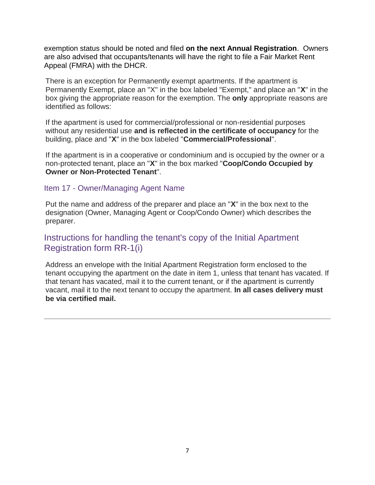exemption status should be noted and filed **on the next Annual Registration**. Owners are also advised that occupants/tenants will have the right to file a Fair Market Rent Appeal (FMRA) with the DHCR.

There is an exception for Permanently exempt apartments. If the apartment is Permanently Exempt, place an "X" in the box labeled "Exempt," and place an "**X**" in the box giving the appropriate reason for the exemption. The **only** appropriate reasons are identified as follows:

If the apartment is used for commercial/professional or non-residential purposes without any residential use **and is reflected in the certificate of occupancy** for the building, place and "**X**" in the box labeled "**Commercial/Professional**".

If the apartment is in a cooperative or condominium and is occupied by the owner or a non-protected tenant, place an "**X**" in the box marked "**Coop/Condo Occupied by Owner or Non-Protected Tenant**".

### Item 17 - Owner/Managing Agent Name

Put the name and address of the preparer and place an "**X**" in the box next to the designation (Owner, Managing Agent or Coop/Condo Owner) which describes the preparer.

# Instructions for handling the tenant's copy of the Initial Apartment Registration form RR-1(i)

Address an envelope with the Initial Apartment Registration form enclosed to the tenant occupying the apartment on the date in item 1, unless that tenant has vacated. If that tenant has vacated, mail it to the current tenant, or if the apartment is currently vacant, mail it to the next tenant to occupy the apartment. **In all cases delivery must be via certified mail.**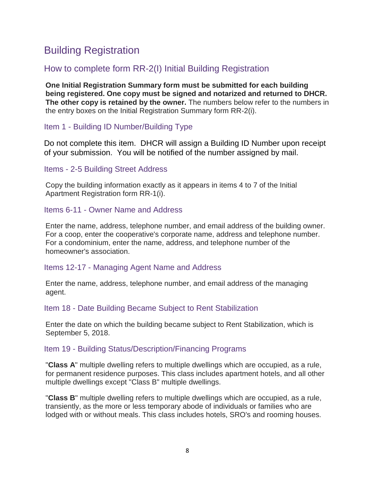# Building Registration

# How to complete form RR-2(I) Initial Building Registration

**One Initial Registration Summary form must be submitted for each building being registered. One copy must be signed and notarized and returned to DHCR. The other copy is retained by the owner.** The numbers below refer to the numbers in the entry boxes on the Initial Registration Summary form RR-2(i).

Item 1 - Building ID Number/Building Type

Do not complete this item. DHCR will assign a Building ID Number upon receipt of your submission. You will be notified of the number assigned by mail.

Items - 2-5 Building Street Address

Copy the building information exactly as it appears in items 4 to 7 of the Initial Apartment Registration form RR-1(i).

Items 6-11 - Owner Name and Address

Enter the name, address, telephone number, and email address of the building owner. For a coop, enter the cooperative's corporate name, address and telephone number. For a condominium, enter the name, address, and telephone number of the homeowner's association.

## Items 12-17 - Managing Agent Name and Address

Enter the name, address, telephone number, and email address of the managing agent.

Item 18 - Date Building Became Subject to Rent Stabilization

Enter the date on which the building became subject to Rent Stabilization, which is September 5, 2018.

## Item 19 - Building Status/Description/Financing Programs

"**Class A**" multiple dwelling refers to multiple dwellings which are occupied, as a rule, for permanent residence purposes. This class includes apartment hotels, and all other multiple dwellings except "Class B" multiple dwellings.

"**Class B**" multiple dwelling refers to multiple dwellings which are occupied, as a rule, transiently, as the more or less temporary abode of individuals or families who are lodged with or without meals. This class includes hotels, SRO's and rooming houses.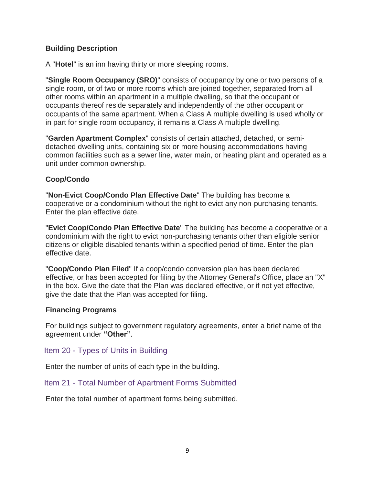### **Building Description**

A "**Hotel**" is an inn having thirty or more sleeping rooms.

"**Single Room Occupancy (SRO)**" consists of occupancy by one or two persons of a single room, or of two or more rooms which are joined together, separated from all other rooms within an apartment in a multiple dwelling, so that the occupant or occupants thereof reside separately and independently of the other occupant or occupants of the same apartment. When a Class A multiple dwelling is used wholly or in part for single room occupancy, it remains a Class A multiple dwelling.

"**Garden Apartment Complex**" consists of certain attached, detached, or semidetached dwelling units, containing six or more housing accommodations having common facilities such as a sewer line, water main, or heating plant and operated as a unit under common ownership.

### **Coop/Condo**

"**Non-Evict Coop/Condo Plan Effective Date**" The building has become a cooperative or a condominium without the right to evict any non-purchasing tenants. Enter the plan effective date.

"**Evict Coop/Condo Plan Effective Date**" The building has become a cooperative or a condominium with the right to evict non-purchasing tenants other than eligible senior citizens or eligible disabled tenants within a specified period of time. Enter the plan effective date.

"**Coop/Condo Plan Filed**" If a coop/condo conversion plan has been declared effective, or has been accepted for filing by the Attorney General's Office, place an "X" in the box. Give the date that the Plan was declared effective, or if not yet effective, give the date that the Plan was accepted for filing.

### **Financing Programs**

For buildings subject to government regulatory agreements, enter a brief name of the agreement under **"Other"**.

Item 20 - Types of Units in Building

Enter the number of units of each type in the building.

Item 21 - Total Number of Apartment Forms Submitted

Enter the total number of apartment forms being submitted.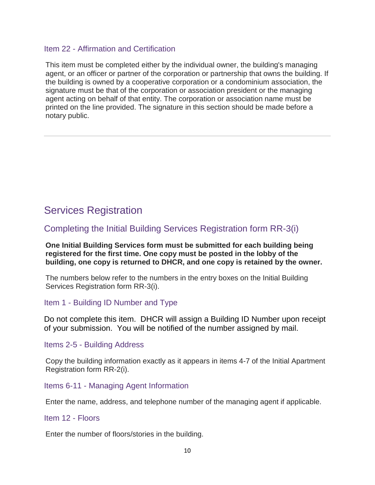### Item 22 - Affirmation and Certification

This item must be completed either by the individual owner, the building's managing agent, or an officer or partner of the corporation or partnership that owns the building. If the building is owned by a cooperative corporation or a condominium association, the signature must be that of the corporation or association president or the managing agent acting on behalf of that entity. The corporation or association name must be printed on the line provided. The signature in this section should be made before a notary public.

# Services Registration

# Completing the Initial Building Services Registration form RR-3(i)

#### **One Initial Building Services form must be submitted for each building being registered for the first time. One copy must be posted in the lobby of the building, one copy is returned to DHCR, and one copy is retained by the owner.**

The numbers below refer to the numbers in the entry boxes on the Initial Building Services Registration form RR-3(i).

### Item 1 - Building ID Number and Type

Do not complete this item. DHCR will assign a Building ID Number upon receipt of your submission. You will be notified of the number assigned by mail.

### Items 2-5 - Building Address

Copy the building information exactly as it appears in items 4-7 of the Initial Apartment Registration form RR-2(i).

### Items 6-11 - Managing Agent Information

Enter the name, address, and telephone number of the managing agent if applicable.

### Item 12 - Floors

Enter the number of floors/stories in the building.